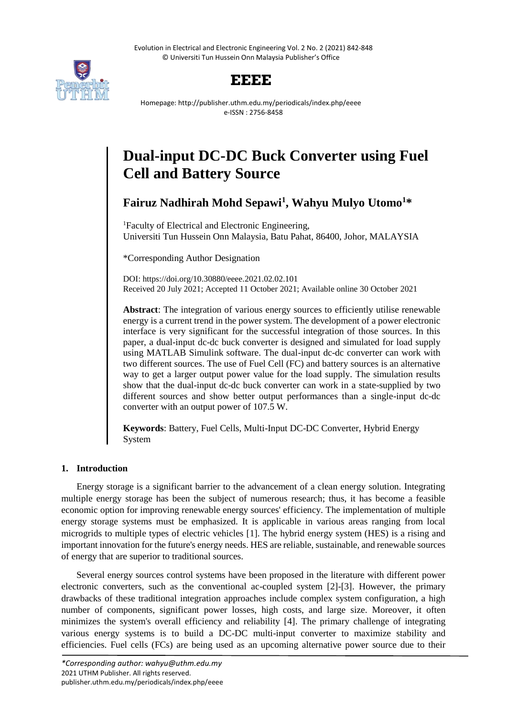Evolution in Electrical and Electronic Engineering Vol. 2 No. 2 (2021) 842-848 © Universiti Tun Hussein Onn Malaysia Publisher's Office



## **EEEE**

Homepage: http://publisher.uthm.edu.my/periodicals/index.php/eeee e-ISSN : 2756-8458

# **Dual-input DC-DC Buck Converter using Fuel Cell and Battery Source**

**Fairuz Nadhirah Mohd Sepawi<sup>1</sup> , Wahyu Mulyo Utomo<sup>1</sup>\***

<sup>1</sup>Faculty of Electrical and Electronic Engineering, Universiti Tun Hussein Onn Malaysia, Batu Pahat, 86400, Johor, MALAYSIA

\*Corresponding Author Designation

DOI: https://doi.org/10.30880/eeee.2021.02.02.101 Received 20 July 2021; Accepted 11 October 2021; Available online 30 October 2021

**Abstract**: The integration of various energy sources to efficiently utilise renewable energy is a current trend in the power system. The development of a power electronic interface is very significant for the successful integration of those sources. In this paper, a dual-input dc-dc buck converter is designed and simulated for load supply using MATLAB Simulink software. The dual-input dc-dc converter can work with two different sources. The use of Fuel Cell (FC) and battery sources is an alternative way to get a larger output power value for the load supply. The simulation results show that the dual-input dc-dc buck converter can work in a state-supplied by two different sources and show better output performances than a single-input dc-dc converter with an output power of 107.5 W.

**Keywords**: Battery, Fuel Cells, Multi-Input DC-DC Converter, Hybrid Energy System

### **1. Introduction**

Energy storage is a significant barrier to the advancement of a clean energy solution. Integrating multiple energy storage has been the subject of numerous research; thus, it has become a feasible economic option for improving renewable energy sources' efficiency. The implementation of multiple energy storage systems must be emphasized. It is applicable in various areas ranging from local microgrids to multiple types of electric vehicles [1]. The hybrid energy system (HES) is a rising and important innovation for the future's energy needs. HES are reliable, sustainable, and renewable sources of energy that are superior to traditional sources.

Several energy sources control systems have been proposed in the literature with different power electronic converters, such as the conventional ac-coupled system [2]-[3]. However, the primary drawbacks of these traditional integration approaches include complex system configuration, a high number of components, significant power losses, high costs, and large size. Moreover, it often minimizes the system's overall efficiency and reliability [4]. The primary challenge of integrating various energy systems is to build a DC-DC multi-input converter to maximize stability and efficiencies. Fuel cells (FCs) are being used as an upcoming alternative power source due to their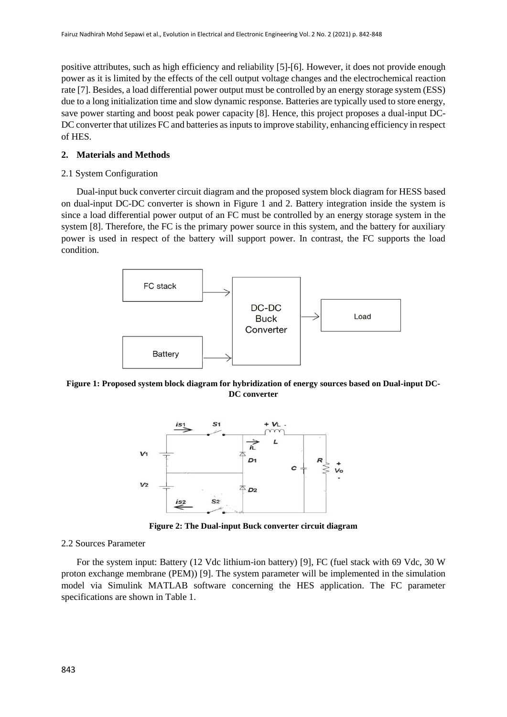positive attributes, such as high efficiency and reliability [5]-[6]. However, it does not provide enough power as it is limited by the effects of the cell output voltage changes and the electrochemical reaction rate [7]. Besides, a load differential power output must be controlled by an energy storage system (ESS) due to a long initialization time and slow dynamic response. Batteries are typically used to store energy, save power starting and boost peak power capacity [8]. Hence, this project proposes a dual-input DC-DC converter that utilizes FC and batteries as inputs to improve stability, enhancing efficiency in respect of HES.

#### **2. Materials and Methods**

#### 2.1 System Configuration

Dual-input buck converter circuit diagram and the proposed system block diagram for HESS based on dual-input DC-DC converter is shown in Figure 1 and 2. Battery integration inside the system is since a load differential power output of an FC must be controlled by an energy storage system in the system [8]. Therefore, the FC is the primary power source in this system, and the battery for auxiliary power is used in respect of the battery will support power. In contrast, the FC supports the load condition.



**Figure 1: Proposed system block diagram for hybridization of energy sources based on Dual-input DC-DC converter**



**Figure 2: The Dual-input Buck converter circuit diagram**

#### 2.2 Sources Parameter

For the system input: Battery (12 Vdc lithium-ion battery) [9], FC (fuel stack with 69 Vdc, 30 W proton exchange membrane (PEM)) [9]. The system parameter will be implemented in the simulation model via Simulink MATLAB software concerning the HES application. The FC parameter specifications are shown in Table 1.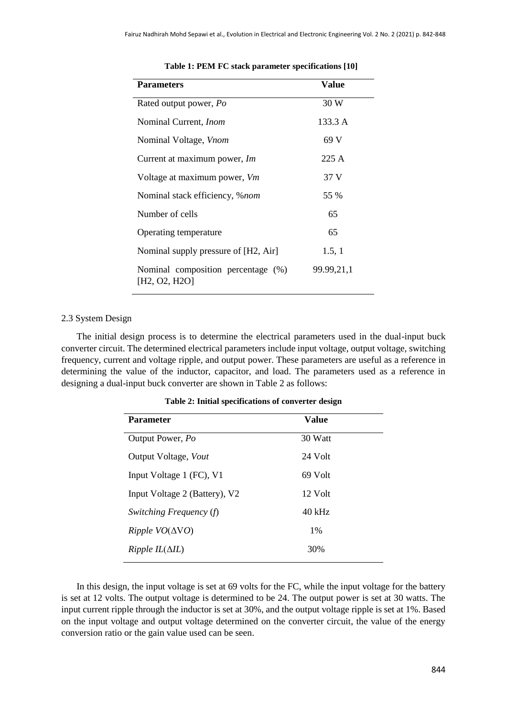| <b>Parameters</b>                                   | Value      |
|-----------------------------------------------------|------------|
| Rated output power, Po                              | 30 W       |
| Nominal Current, <i>Inom</i>                        | 133.3 A    |
| Nominal Voltage, Vnom                               | 69 V       |
| Current at maximum power, Im                        | 225A       |
| Voltage at maximum power, Vm                        | 37 V       |
| Nominal stack efficiency, % <i>nom</i>              | 55 %       |
| Number of cells                                     | 65         |
| Operating temperature                               | 65         |
| Nominal supply pressure of [H2, Air]                | 1.5, 1     |
| Nominal composition percentage (%)<br>[H2, O2, H2O] | 99.99,21,1 |

#### **Table 1: PEM FC stack parameter specifications [10]**

#### 2.3 System Design

The initial design process is to determine the electrical parameters used in the dual-input buck converter circuit. The determined electrical parameters include input voltage, output voltage, switching frequency, current and voltage ripple, and output power. These parameters are useful as a reference in determining the value of the inductor, capacitor, and load. The parameters used as a reference in designing a dual-input buck converter are shown in Table 2 as follows:

| <b>Parameter</b>              | Value    |
|-------------------------------|----------|
| Output Power, Po              | 30 Watt  |
| Output Voltage, Vout          | 24 Volt  |
| Input Voltage 1 (FC), V1      | 69 Volt  |
| Input Voltage 2 (Battery), V2 | 12 Volt  |
| Switching Frequency (f)       | $40$ kHz |
|                               | 1%       |
| $Ripple IL(\Delta IL)$        | 30%      |

**Table 2: Initial specifications of converter design**

In this design, the input voltage is set at 69 volts for the FC, while the input voltage for the battery is set at 12 volts. The output voltage is determined to be 24. The output power is set at 30 watts. The input current ripple through the inductor is set at 30%, and the output voltage ripple is set at 1%. Based on the input voltage and output voltage determined on the converter circuit, the value of the energy conversion ratio or the gain value used can be seen.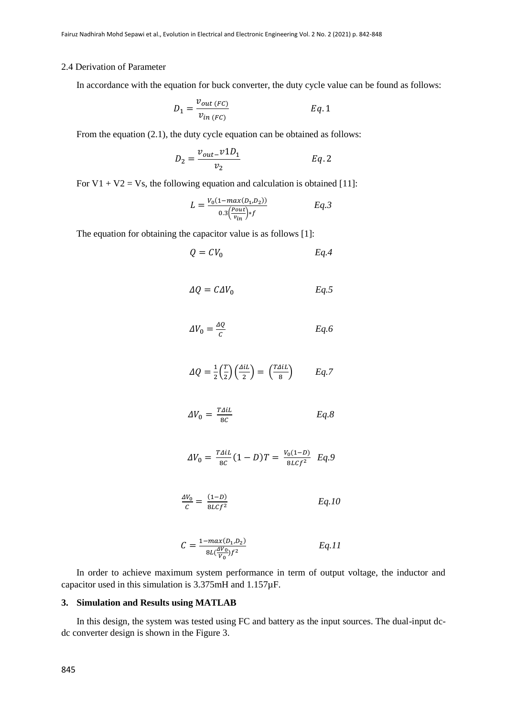#### 2.4 Derivation of Parameter

In accordance with the equation for buck converter, the duty cycle value can be found as follows:

$$
D_1 = \frac{v_{out\,(FC)}}{v_{in\,(FC)}}\qquad \qquad Eq. 1
$$

From the equation (2.1), the duty cycle equation can be obtained as follows:

$$
D_2 = \frac{v_{out} - v_1 D_1}{v_2} \qquad \qquad Eq. 2
$$

For  $V1 + V2 = Vs$ , the following equation and calculation is obtained [11]:

$$
L = \frac{V_0(1 - \max(D_1, D_2))}{0.3(\frac{P_{out}}{v_{in}}) * f} \qquad Eq. 3
$$

The equation for obtaining the capacitor value is as follows [1]:

$$
Q = CV_0 \qquad \qquad Eq.4
$$

$$
\Delta Q = C \Delta V_0 \qquad \qquad Eq.5
$$

$$
\Delta V_0 = \frac{\Delta Q}{c} \qquad \qquad Eq.6
$$

$$
\Delta Q = \frac{1}{2} \left( \frac{T}{2} \right) \left( \frac{\Delta i L}{2} \right) = \left( \frac{T \Delta i L}{8} \right) \qquad Eq. 7
$$

$$
\Delta V_0 = \frac{T \Delta i L}{8C} \qquad \qquad Eq. 8
$$

$$
\Delta V_0 = \frac{T \Delta i L}{8C} (1 - D) T = \frac{V_0 (1 - D)}{8 L C f^2} E q.9
$$

$$
\frac{\Delta V_0}{C} = \frac{(1 - D)}{8Lcf^2} \qquad Eq. 10
$$

$$
C = \frac{1 - max(D_1, D_2)}{8L(\frac{AV_0}{V_0})f^2}
$$
 Eq.11

In order to achieve maximum system performance in term of output voltage, the inductor and capacitor used in this simulation is 3.375mH and 1.157µF.

#### **3. Simulation and Results using MATLAB**

In this design, the system was tested using FC and battery as the input sources. The dual-input dcdc converter design is shown in the Figure 3.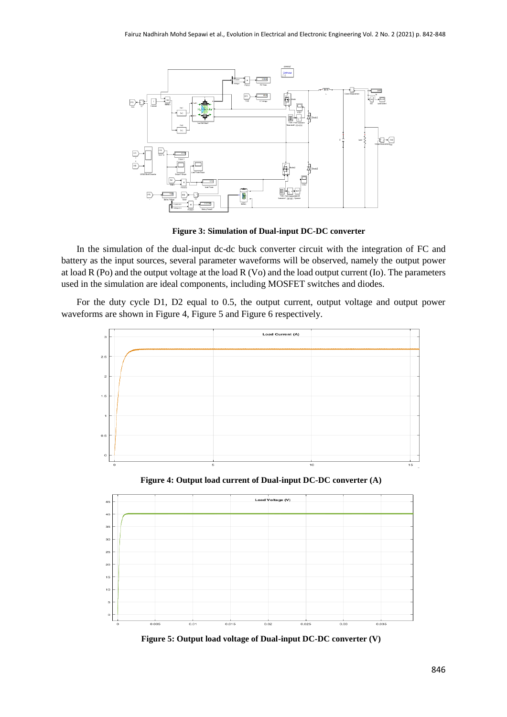

**Figure 3: Simulation of Dual-input DC-DC converter**

In the simulation of the dual-input dc-dc buck converter circuit with the integration of FC and battery as the input sources, several parameter waveforms will be observed, namely the output power at load R (Po) and the output voltage at the load R (Vo) and the load output current (Io). The parameters used in the simulation are ideal components, including MOSFET switches and diodes.

For the duty cycle D1, D2 equal to 0.5, the output current, output voltage and output power waveforms are shown in Figure 4, Figure 5 and Figure 6 respectively.



**Figure 5: Output load voltage of Dual-input DC-DC converter (V)**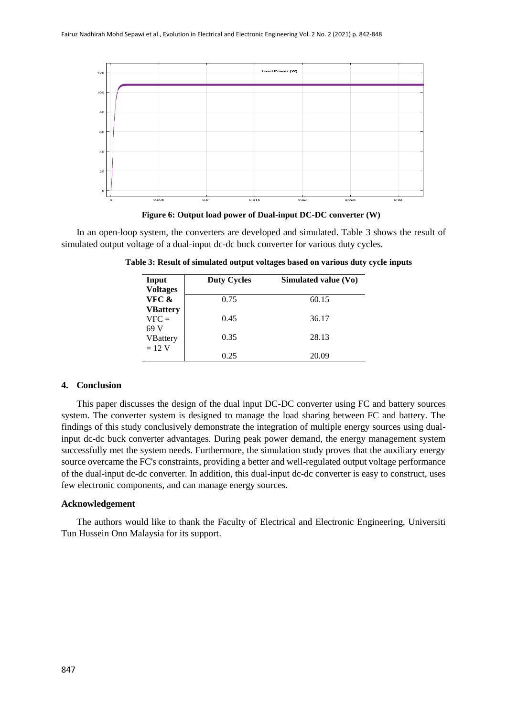

**Figure 6: Output load power of Dual-input DC-DC converter (W)**

In an open-loop system, the converters are developed and simulated. Table 3 shows the result of simulated output voltage of a dual-input dc-dc buck converter for various duty cycles.

| Input<br><b>Voltages</b>           | <b>Duty Cycles</b> | Simulated value (Vo) |
|------------------------------------|--------------------|----------------------|
| VFC &                              | 0.75               | 60.15                |
| <b>VBattery</b><br>$VFC =$<br>69 V | 0.45               | 36.17                |
| <b>VBattery</b>                    | 0.35               | 28.13                |
| $= 12$ V                           | 0.25               | 20.09                |

**Table 3: Result of simulated output voltages based on various duty cycle inputs**

#### **4. Conclusion**

This paper discusses the design of the dual input DC-DC converter using FC and battery sources system. The converter system is designed to manage the load sharing between FC and battery. The findings of this study conclusively demonstrate the integration of multiple energy sources using dualinput dc-dc buck converter advantages. During peak power demand, the energy management system successfully met the system needs. Furthermore, the simulation study proves that the auxiliary energy source overcame the FC's constraints, providing a better and well-regulated output voltage performance of the dual-input dc-dc converter. In addition, this dual-input dc-dc converter is easy to construct, uses few electronic components, and can manage energy sources.

#### **Acknowledgement**

The authors would like to thank the Faculty of Electrical and Electronic Engineering, Universiti Tun Hussein Onn Malaysia for its support.